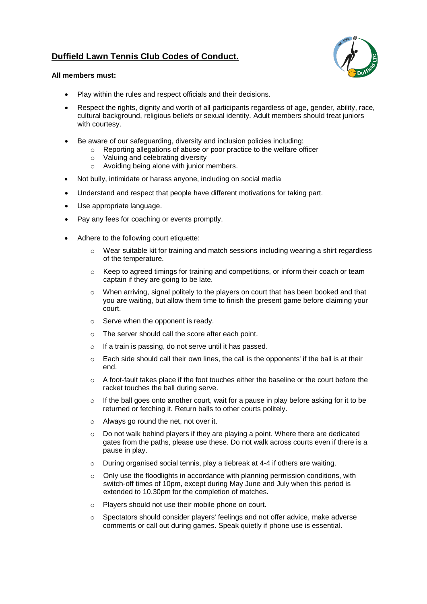# **Duffield Lawn Tennis Club Codes of Conduct.**



#### **All members must:**

- Play within the rules and respect officials and their decisions.
- Respect the rights, dignity and worth of all participants regardless of age, gender, ability, race, cultural background, religious beliefs or sexual identity. Adult members should treat juniors with courtesy.
- Be aware of our safeguarding, diversity and inclusion policies including:
	- o Reporting allegations of abuse or poor practice to the welfare officer
	- o Valuing and celebrating diversity
	- o Avoiding being alone with junior members.
- Not bully, intimidate or harass anyone, including on social media
- Understand and respect that people have different motivations for taking part.
- Use appropriate language.
- Pay any fees for coaching or events promptly.
- Adhere to the following court etiquette:
	- $\circ$  Wear suitable kit for training and match sessions including wearing a shirt regardless of the temperature.
	- $\circ$  Keep to agreed timings for training and competitions, or inform their coach or team captain if they are going to be late.
	- $\circ$  When arriving, signal politely to the players on court that has been booked and that you are waiting, but allow them time to finish the present game before claiming your court.
	- o Serve when the opponent is ready.
	- The server should call the score after each point.
	- o If a train is passing, do not serve until it has passed.
	- $\circ$  Each side should call their own lines, the call is the opponents' if the ball is at their end.
	- $\circ$  A foot-fault takes place if the foot touches either the baseline or the court before the racket touches the ball during serve.
	- $\circ$  If the ball goes onto another court, wait for a pause in play before asking for it to be returned or fetching it. Return balls to other courts politely.
	- o Always go round the net, not over it.
	- $\circ$  Do not walk behind players if they are playing a point. Where there are dedicated gates from the paths, please use these. Do not walk across courts even if there is a pause in play.
	- During organised social tennis, play a tiebreak at 4-4 if others are waiting.
	- o Only use the floodlights in accordance with planning permission conditions, with switch-off times of 10pm, except during May June and July when this period is extended to 10.30pm for the completion of matches.
	- o Players should not use their mobile phone on court.
	- Spectators should consider players' feelings and not offer advice, make adverse comments or call out during games. Speak quietly if phone use is essential.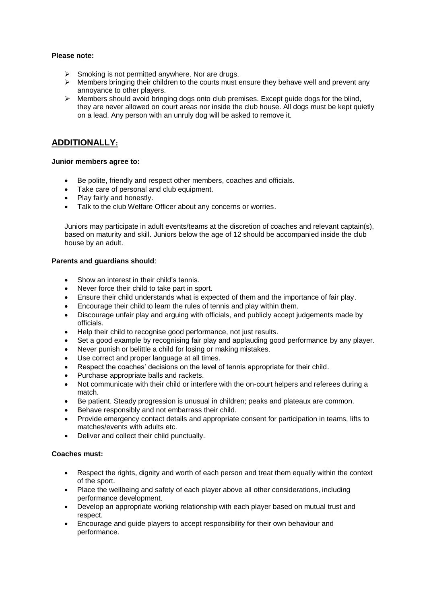#### **Please note:**

- $\triangleright$  Smoking is not permitted anywhere. Nor are drugs.
- $\triangleright$  Members bringing their children to the courts must ensure they behave well and prevent any annoyance to other players.
- $\triangleright$  Members should avoid bringing dogs onto club premises. Except guide dogs for the blind, they are never allowed on court areas nor inside the club house. All dogs must be kept quietly on a lead. Any person with an unruly dog will be asked to remove it.

## **ADDITIONALLY:**

#### **Junior members agree to:**

- Be polite, friendly and respect other members, coaches and officials.
- Take care of personal and club equipment.
- Play fairly and honestly.
- Talk to the club Welfare Officer about any concerns or worries.

Juniors may participate in adult events/teams at the discretion of coaches and relevant captain(s), based on maturity and skill. Juniors below the age of 12 should be accompanied inside the club house by an adult.

#### **Parents and guardians should**:

- Show an interest in their child's tennis.
- Never force their child to take part in sport.
- Ensure their child understands what is expected of them and the importance of fair play.
- Encourage their child to learn the rules of tennis and play within them.
- Discourage unfair play and arguing with officials, and publicly accept judgements made by officials.
- Help their child to recognise good performance, not just results.
- Set a good example by recognising fair play and applauding good performance by any player.
- Never punish or belittle a child for losing or making mistakes.
- Use correct and proper language at all times.
- Respect the coaches' decisions on the level of tennis appropriate for their child.
- Purchase appropriate balls and rackets.
- Not communicate with their child or interfere with the on-court helpers and referees during a match.
- Be patient. Steady progression is unusual in children; peaks and plateaux are common.
- Behave responsibly and not embarrass their child.
- Provide emergency contact details and appropriate consent for participation in teams, lifts to matches/events with adults etc.
- Deliver and collect their child punctually.

#### **Coaches must:**

- Respect the rights, dignity and worth of each person and treat them equally within the context of the sport.
- Place the wellbeing and safety of each player above all other considerations, including performance development.
- Develop an appropriate working relationship with each player based on mutual trust and respect.
- Encourage and guide players to accept responsibility for their own behaviour and performance.